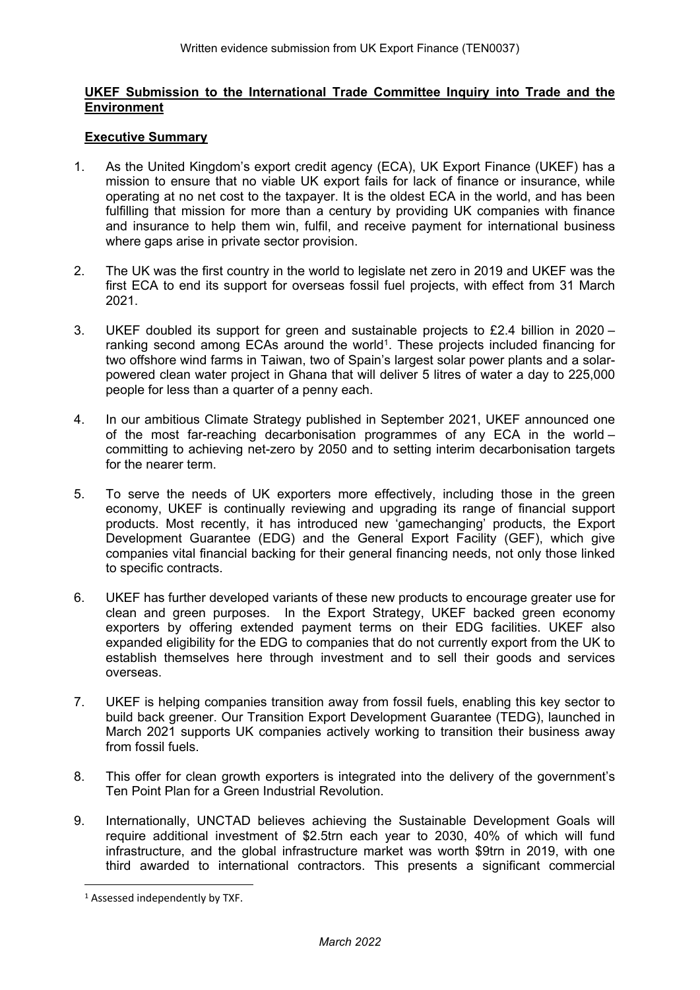# **UKEF Submission to the International Trade Committee Inquiry into Trade and the Environment**

# **Executive Summary**

- 1. As the United Kingdom's export credit agency (ECA), UK Export Finance (UKEF) has a mission to ensure that no viable UK export fails for lack of finance or insurance, while operating at no net cost to the taxpayer. It is the oldest ECA in the world, and has been fulfilling that mission for more than a century by providing UK companies with finance and insurance to help them win, fulfil, and receive payment for international business where gaps arise in private sector provision.
- 2. The UK was the first country in the world to legislate net zero in 2019 and UKEF was the first ECA to end its support for overseas fossil fuel projects, with effect from 31 March 2021.
- 3. UKEF doubled its support for green and sustainable projects to £2.4 billion in 2020 ranking second among ECAs around the world<sup>1</sup>. These projects included financing for two offshore wind farms in Taiwan, two of Spain's largest solar power plants and a solarpowered clean water project in Ghana that will deliver 5 litres of water a day to 225,000 people for less than a quarter of a penny each.
- 4. In our ambitious Climate Strategy published in September 2021, UKEF announced one of the most far-reaching decarbonisation programmes of any ECA in the world – committing to achieving net-zero by 2050 and to setting interim decarbonisation targets for the nearer term.
- 5. To serve the needs of UK exporters more effectively, including those in the green economy, UKEF is continually reviewing and upgrading its range of financial support products. Most recently, it has introduced new 'gamechanging' products, the Export Development Guarantee (EDG) and the General Export Facility (GEF), which give companies vital financial backing for their general financing needs, not only those linked to specific contracts.
- 6. UKEF has further developed variants of these new products to encourage greater use for clean and green purposes. In the Export Strategy, UKEF backed green economy exporters by offering extended payment terms on their EDG facilities. UKEF also expanded eligibility for the EDG to companies that do not currently export from the UK to establish themselves here through investment and to sell their goods and services overseas.
- 7. UKEF is helping companies transition away from fossil fuels, enabling this key sector to build back greener. Our Transition Export Development Guarantee (TEDG), launched in March 2021 supports UK companies actively working to transition their business away from fossil fuels.
- 8. This offer for clean growth exporters is integrated into the delivery of the government's Ten Point Plan for a Green Industrial Revolution.
- 9. Internationally, UNCTAD believes achieving the Sustainable Development Goals will require additional investment of \$2.5trn each year to 2030, 40% of which will fund infrastructure, and the global infrastructure market was worth \$9trn in 2019, with one third awarded to international contractors. This presents a significant commercial

<sup>1</sup> Assessed independently by TXF.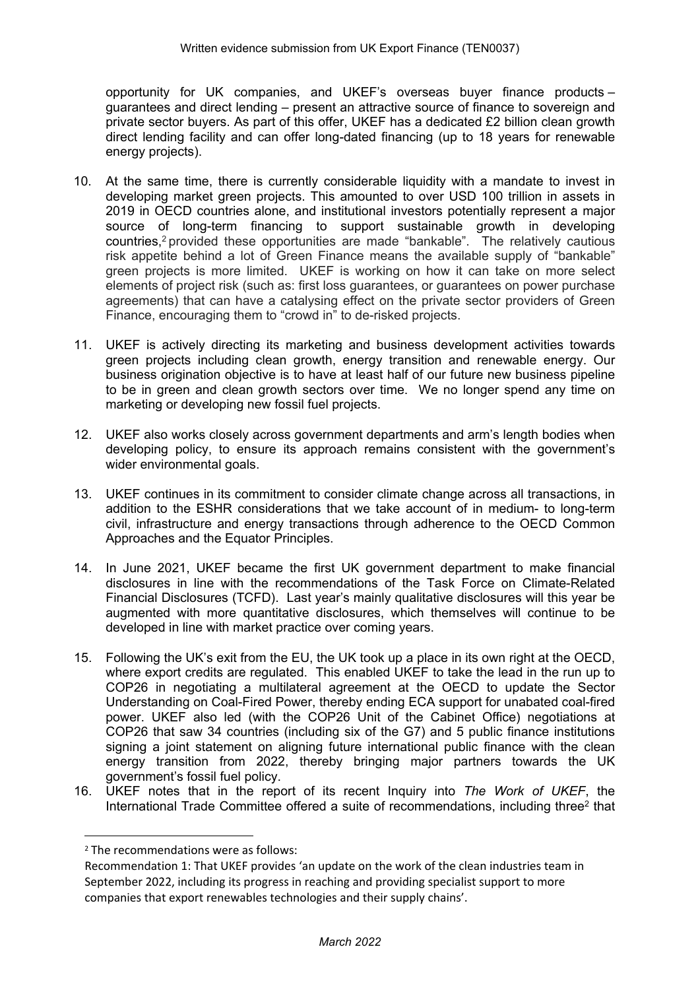opportunity for UK companies, and UKEF's overseas buyer finance products – guarantees and direct lending – present an attractive source of finance to sovereign and private sector buyers. As part of this offer, UKEF has a dedicated £2 billion clean growth direct lending facility and can offer long-dated financing (up to 18 years for renewable energy projects).

- 10. At the same time, there is currently considerable liquidity with a mandate to invest in developing market green projects. This amounted to over USD 100 trillion in assets in 2019 in OECD countries alone, and institutional investors potentially represent a major source of long-term financing to support sustainable growth in developing countries,<sup>2</sup> provided these opportunities are made "bankable". The relatively cautious risk appetite behind a lot of Green Finance means the available supply of "bankable" green projects is more limited. UKEF is working on how it can take on more select elements of project risk (such as: first loss guarantees, or guarantees on power purchase agreements) that can have a catalysing effect on the private sector providers of Green Finance, encouraging them to "crowd in" to de-risked projects.
- 11. UKEF is actively directing its marketing and business development activities towards green projects including clean growth, energy transition and renewable energy. Our business origination objective is to have at least half of our future new business pipeline to be in green and clean growth sectors over time. We no longer spend any time on marketing or developing new fossil fuel projects.
- 12. UKEF also works closely across government departments and arm's length bodies when developing policy, to ensure its approach remains consistent with the government's wider environmental goals.
- 13. UKEF continues in its commitment to consider climate change across all transactions, in addition to the ESHR considerations that we take account of in medium- to long-term civil, infrastructure and energy transactions through adherence to the OECD Common Approaches and the Equator Principles.
- 14. In June 2021, UKEF became the first UK government department to make financial disclosures in line with the recommendations of the Task Force on Climate-Related Financial Disclosures (TCFD). Last year's mainly qualitative disclosures will this year be augmented with more quantitative disclosures, which themselves will continue to be developed in line with market practice over coming years.
- 15. Following the UK's exit from the EU, the UK took up a place in its own right at the OECD, where export credits are regulated. This enabled UKEF to take the lead in the run up to COP26 in negotiating a multilateral agreement at the OECD to update the Sector Understanding on Coal-Fired Power, thereby ending ECA support for unabated coal-fired power. UKEF also led (with the COP26 Unit of the Cabinet Office) negotiations at COP26 that saw 34 countries (including six of the G7) and 5 public finance institutions signing a joint statement on aligning future international public finance with the clean energy transition from 2022, thereby bringing major partners towards the UK government's fossil fuel policy.
- 16. UKEF notes that in the report of its recent Inquiry into *The Work of UKEF*, the International Trade Committee offered a suite of recommendations, including three<sup>2</sup> that

<sup>2</sup> The recommendations were as follows:

Recommendation 1: That UKEF provides 'an update on the work of the clean industries team in September 2022, including its progress in reaching and providing specialist support to more companies that export renewables technologies and their supply chains'.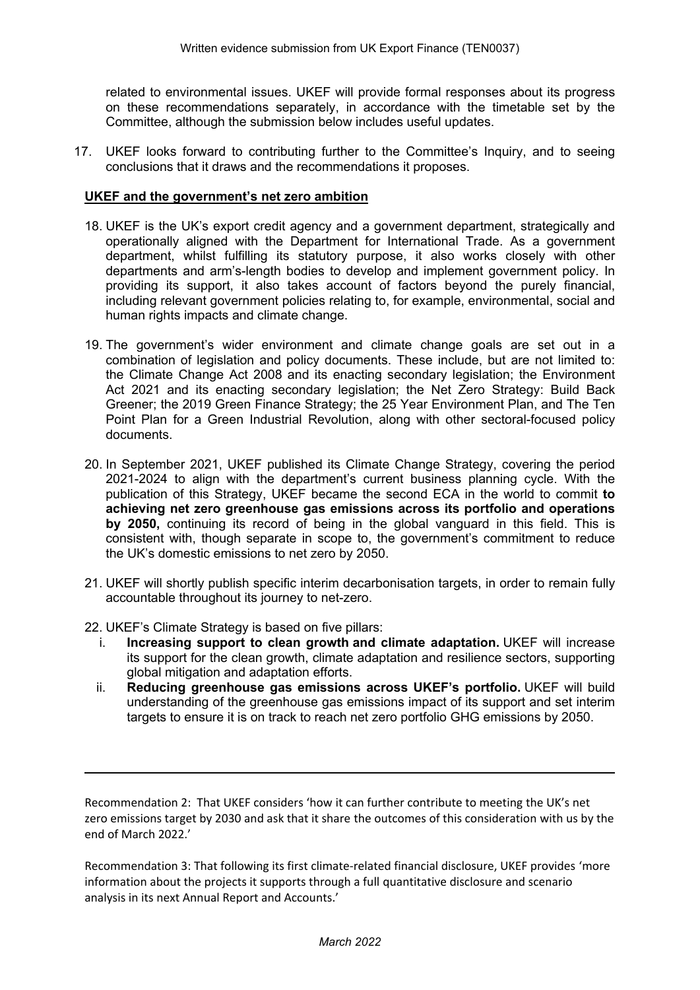related to environmental issues. UKEF will provide formal responses about its progress on these recommendations separately, in accordance with the timetable set by the Committee, although the submission below includes useful updates.

17. UKEF looks forward to contributing further to the Committee's Inquiry, and to seeing conclusions that it draws and the recommendations it proposes.

## **UKEF and the government's net zero ambition**

- 18. UKEF is the UK's export credit agency and a government department, strategically and operationally aligned with the Department for International Trade. As a government department, whilst fulfilling its statutory purpose, it also works closely with other departments and arm's-length bodies to develop and implement government policy. In providing its support, it also takes account of factors beyond the purely financial, including relevant government policies relating to, for example, environmental, social and human rights impacts and climate change.
- 19. The government's wider environment and climate change goals are set out in a combination of legislation and policy documents. These include, but are not limited to: the Climate Change Act 2008 and its enacting secondary legislation; the Environment Act 2021 and its enacting secondary legislation; the Net Zero Strategy: Build Back Greener; the 2019 Green Finance Strategy; the 25 Year Environment Plan, and The Ten Point Plan for a Green Industrial Revolution, along with other sectoral-focused policy documents.
- 20. In September 2021, UKEF published its Climate Change Strategy, covering the period 2021-2024 to align with the department's current business planning cycle. With the publication of this Strategy, UKEF became the second ECA in the world to commit **to achieving net zero greenhouse gas emissions across its portfolio and operations by 2050,** continuing its record of being in the global vanguard in this field. This is consistent with, though separate in scope to, the government's commitment to reduce the UK's domestic emissions to net zero by 2050.
- 21. UKEF will shortly publish specific interim decarbonisation targets, in order to remain fully accountable throughout its journey to net-zero.
- 22. UKEF's Climate Strategy is based on five pillars:
	- i. **Increasing support to clean growth and climate adaptation.** UKEF will increase its support for the clean growth, climate adaptation and resilience sectors, supporting global mitigation and adaptation efforts.
	- ii. **Reducing greenhouse gas emissions across UKEF's portfolio.** UKEF will build understanding of the greenhouse gas emissions impact of its support and set interim targets to ensure it is on track to reach net zero portfolio GHG emissions by 2050.

Recommendation 2: That UKEF considers 'how it can further contribute to meeting the UK's net zero emissions target by 2030 and ask that it share the outcomes of this consideration with us by the end of March 2022.'

Recommendation 3: That following its first climate-related financial disclosure, UKEF provides 'more information about the projects it supports through a full quantitative disclosure and scenario analysis in its next Annual Report and Accounts.'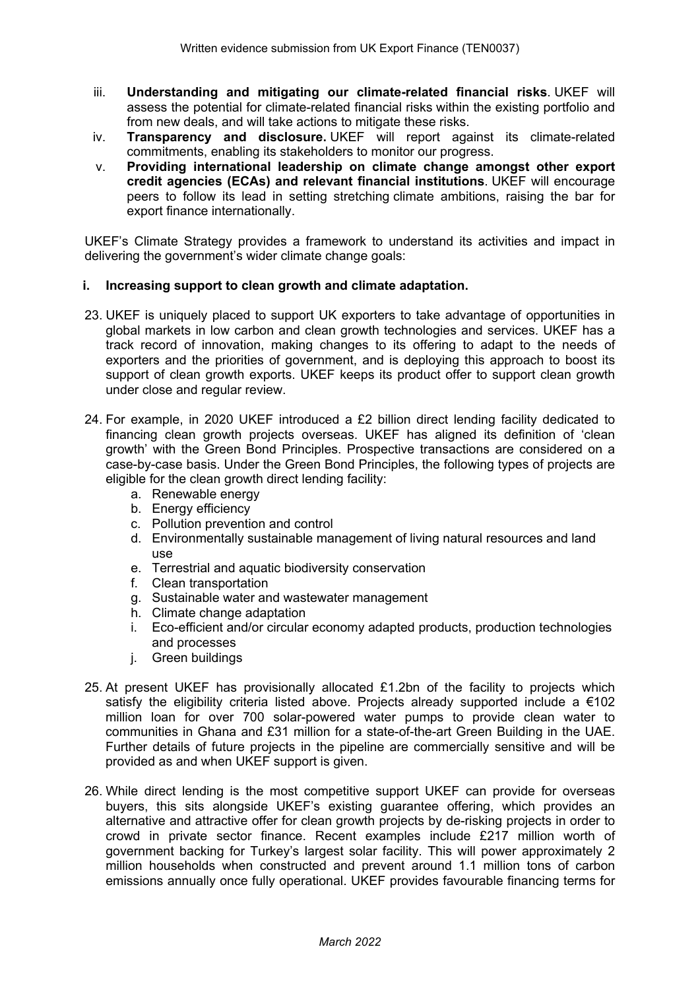- iii. **Understanding and mitigating our climate-related financial risks**. UKEF will assess the potential for climate-related financial risks within the existing portfolio and from new deals, and will take actions to mitigate these risks.
- iv. **Transparency and disclosure.** UKEF will report against its climate-related commitments, enabling its stakeholders to monitor our progress.
- v. **Providing international leadership on climate change amongst other export credit agencies (ECAs) and relevant financial institutions**. UKEF will encourage peers to follow its lead in setting stretching climate ambitions, raising the bar for export finance internationally.

UKEF's Climate Strategy provides a framework to understand its activities and impact in delivering the government's wider climate change goals:

# **i. Increasing support to clean growth and climate adaptation.**

- 23. UKEF is uniquely placed to support UK exporters to take advantage of opportunities in global markets in low carbon and clean growth technologies and services. UKEF has a track record of innovation, making changes to its offering to adapt to the needs of exporters and the priorities of government, and is deploying this approach to boost its support of clean growth exports. UKEF keeps its product offer to support clean growth under close and regular review.
- 24. For example, in 2020 UKEF introduced a £2 billion direct lending facility dedicated to financing clean growth projects overseas. UKEF has aligned its definition of 'clean growth' with the Green Bond Principles. Prospective transactions are considered on a case-by-case basis. Under the Green Bond Principles, the following types of projects are eligible for the clean growth direct lending facility:
	- a. Renewable energy
	- b. Energy efficiency
	- c. Pollution prevention and control
	- d. Environmentally sustainable management of living natural resources and land use
	- e. Terrestrial and aquatic biodiversity conservation
	- f. Clean transportation
	- g. Sustainable water and wastewater management
	- h. Climate change adaptation
	- i. Eco-efficient and/or circular economy adapted products, production technologies and processes
	- j. Green buildings
- 25. At present UKEF has provisionally allocated £1.2bn of the facility to projects which satisfy the eligibility criteria listed above. Projects already supported include a  $\epsilon$ 102 million loan for over 700 solar-powered water pumps to provide clean water to communities in Ghana and £31 million for a state-of-the-art Green Building in the UAE. Further details of future projects in the pipeline are commercially sensitive and will be provided as and when UKEF support is given.
- 26. While direct lending is the most competitive support UKEF can provide for overseas buyers, this sits alongside UKEF's existing guarantee offering, which provides an alternative and attractive offer for clean growth projects by de-risking projects in order to crowd in private sector finance. Recent examples include £217 million worth of government backing for Turkey's largest solar facility. This will power approximately 2 million households when constructed and prevent around 1.1 million tons of carbon emissions annually once fully operational. UKEF provides favourable financing terms for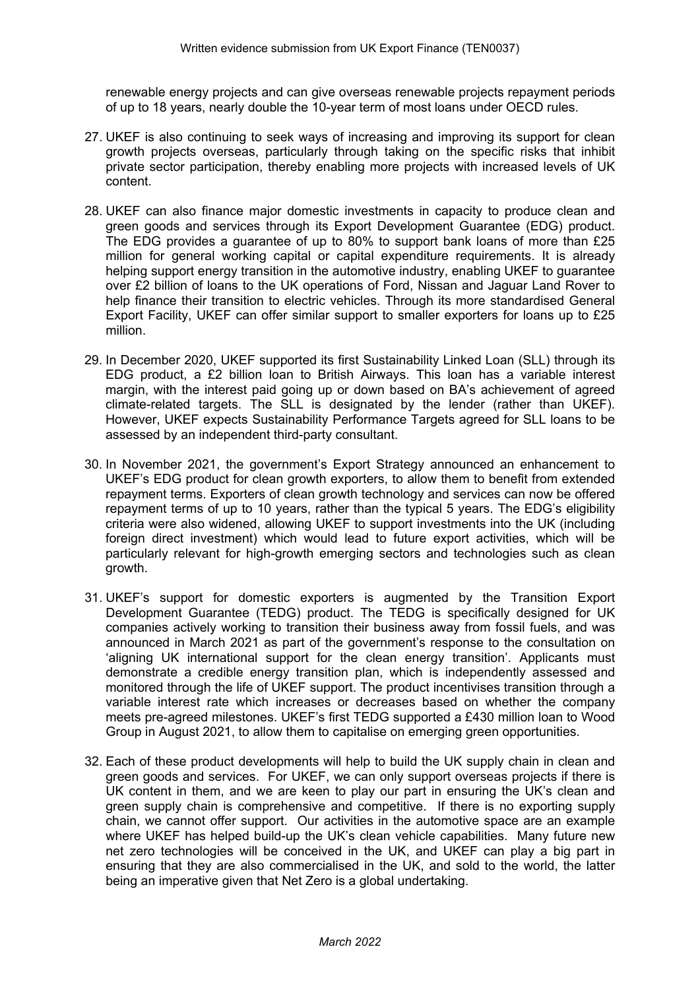renewable energy projects and can give overseas renewable projects repayment periods of up to 18 years, nearly double the 10-year term of most loans under OECD rules.

- 27. UKEF is also continuing to seek ways of increasing and improving its support for clean growth projects overseas, particularly through taking on the specific risks that inhibit private sector participation, thereby enabling more projects with increased levels of UK content.
- 28. UKEF can also finance major domestic investments in capacity to produce clean and green goods and services through its Export Development Guarantee (EDG) product. The EDG provides a guarantee of up to 80% to support bank loans of more than £25 million for general working capital or capital expenditure requirements. It is already helping support energy transition in the automotive industry, enabling UKEF to guarantee over £2 billion of loans to the UK operations of Ford, Nissan and Jaguar Land Rover to help finance their transition to electric vehicles. Through its more standardised General Export Facility, UKEF can offer similar support to smaller exporters for loans up to £25 million.
- 29. In December 2020, UKEF supported its first Sustainability Linked Loan (SLL) through its EDG product, a £2 billion loan to British Airways. This loan has a variable interest margin, with the interest paid going up or down based on BA's achievement of agreed climate-related targets. The SLL is designated by the lender (rather than UKEF). However, UKEF expects Sustainability Performance Targets agreed for SLL loans to be assessed by an independent third-party consultant.
- 30. In November 2021, the government's Export Strategy announced an enhancement to UKEF's EDG product for clean growth exporters, to allow them to benefit from extended repayment terms. Exporters of clean growth technology and services can now be offered repayment terms of up to 10 years, rather than the typical 5 years. The EDG's eligibility criteria were also widened, allowing UKEF to support investments into the UK (including foreign direct investment) which would lead to future export activities, which will be particularly relevant for high-growth emerging sectors and technologies such as clean growth.
- 31. UKEF's support for domestic exporters is augmented by the Transition Export Development Guarantee (TEDG) product. The TEDG is specifically designed for UK companies actively working to transition their business away from fossil fuels, and was announced in March 2021 as part of the government's response to the consultation on 'aligning UK international support for the clean energy transition'. Applicants must demonstrate a credible energy transition plan, which is independently assessed and monitored through the life of UKEF support. The product incentivises transition through a variable interest rate which increases or decreases based on whether the company meets pre-agreed milestones. UKEF's first TEDG supported a £430 million loan to Wood Group in August 2021, to allow them to capitalise on emerging green opportunities.
- 32. Each of these product developments will help to build the UK supply chain in clean and green goods and services. For UKEF, we can only support overseas projects if there is UK content in them, and we are keen to play our part in ensuring the UK's clean and green supply chain is comprehensive and competitive. If there is no exporting supply chain, we cannot offer support. Our activities in the automotive space are an example where UKEF has helped build-up the UK's clean vehicle capabilities. Many future new net zero technologies will be conceived in the UK, and UKEF can play a big part in ensuring that they are also commercialised in the UK, and sold to the world, the latter being an imperative given that Net Zero is a global undertaking.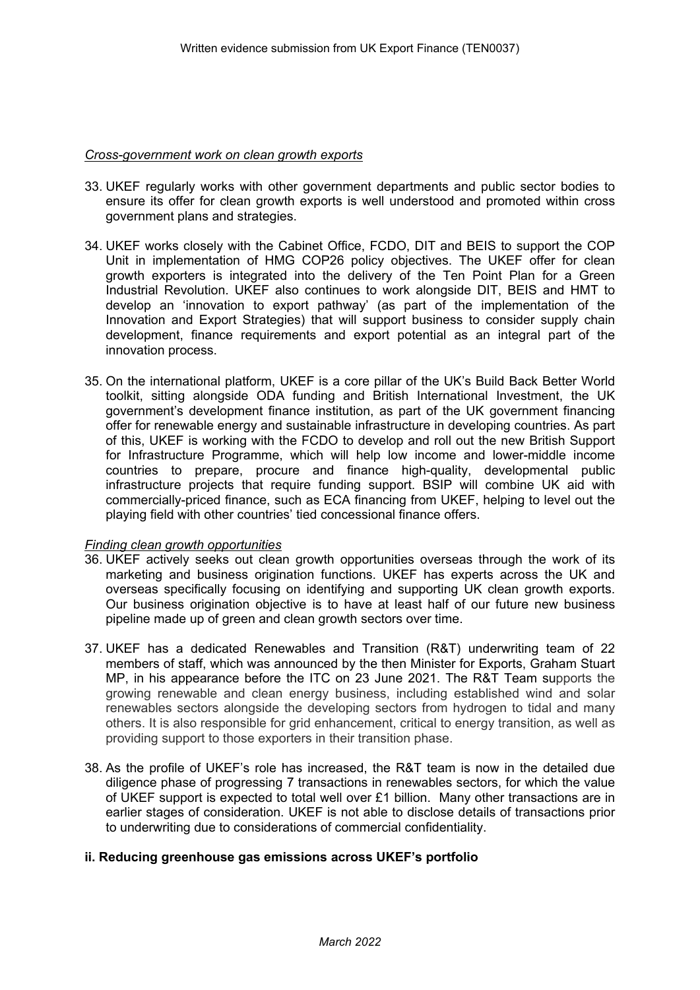### *Cross-government work on clean growth exports*

- 33. UKEF regularly works with other government departments and public sector bodies to ensure its offer for clean growth exports is well understood and promoted within cross government plans and strategies.
- 34. UKEF works closely with the Cabinet Office, FCDO, DIT and BEIS to support the COP Unit in implementation of HMG COP26 policy objectives. The UKEF offer for clean growth exporters is integrated into the delivery of the Ten Point Plan for a Green Industrial Revolution. UKEF also continues to work alongside DIT, BEIS and HMT to develop an 'innovation to export pathway' (as part of the implementation of the Innovation and Export Strategies) that will support business to consider supply chain development, finance requirements and export potential as an integral part of the innovation process.
- 35. On the international platform, UKEF is a core pillar of the UK's Build Back Better World toolkit, sitting alongside ODA funding and British International Investment, the UK government's development finance institution, as part of the UK government financing offer for renewable energy and sustainable infrastructure in developing countries. As part of this, UKEF is working with the FCDO to develop and roll out the new British Support for Infrastructure Programme, which will help low income and lower-middle income countries to prepare, procure and finance high-quality, developmental public infrastructure projects that require funding support. BSIP will combine UK aid with commercially-priced finance, such as ECA financing from UKEF, helping to level out the playing field with other countries' tied concessional finance offers.

### *Finding clean growth opportunities*

- 36. UKEF actively seeks out clean growth opportunities overseas through the work of its marketing and business origination functions. UKEF has experts across the UK and overseas specifically focusing on identifying and supporting UK clean growth exports. Our business origination objective is to have at least half of our future new business pipeline made up of green and clean growth sectors over time.
- 37. UKEF has a dedicated Renewables and Transition (R&T) underwriting team of 22 members of staff, which was announced by the then Minister for Exports, Graham Stuart MP, in his appearance before the ITC on 23 June 2021. The R&T Team supports the growing renewable and clean energy business, including established wind and solar renewables sectors alongside the developing sectors from hydrogen to tidal and many others. It is also responsible for grid enhancement, critical to energy transition, as well as providing support to those exporters in their transition phase.
- 38. As the profile of UKEF's role has increased, the R&T team is now in the detailed due diligence phase of progressing 7 transactions in renewables sectors, for which the value of UKEF support is expected to total well over £1 billion. Many other transactions are in earlier stages of consideration. UKEF is not able to disclose details of transactions prior to underwriting due to considerations of commercial confidentiality.

### **ii. Reducing greenhouse gas emissions across UKEF's portfolio**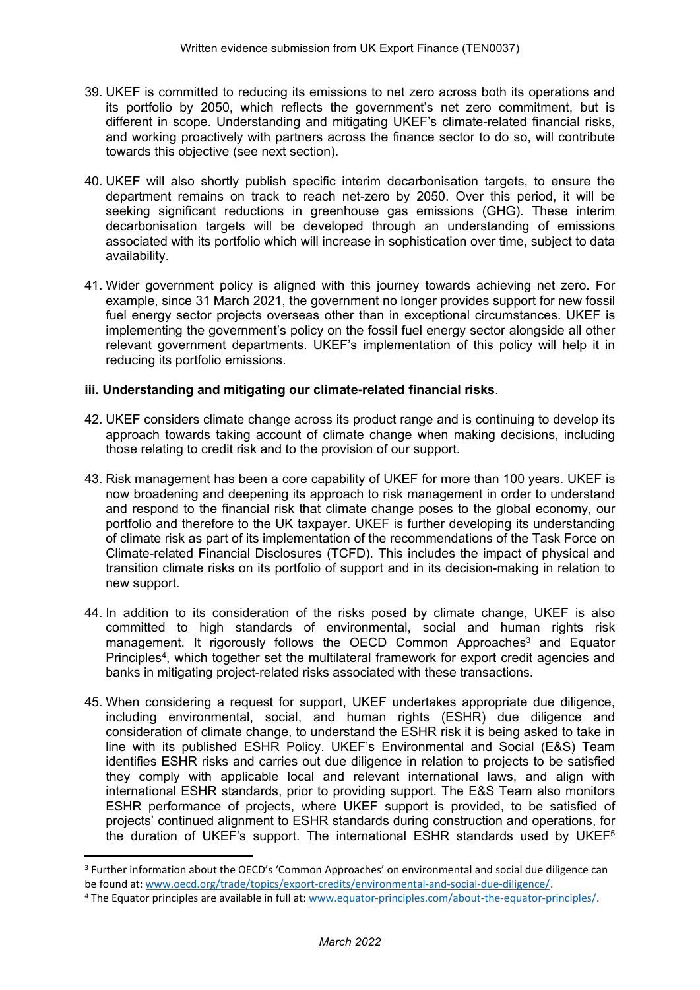- 39. UKEF is committed to reducing its emissions to net zero across both its operations and its portfolio by 2050, which reflects the government's net zero commitment, but is different in scope. Understanding and mitigating UKEF's climate-related financial risks, and working proactively with partners across the finance sector to do so, will contribute towards this objective (see next section).
- 40. UKEF will also shortly publish specific interim decarbonisation targets, to ensure the department remains on track to reach net-zero by 2050. Over this period, it will be seeking significant reductions in greenhouse gas emissions (GHG). These interim decarbonisation targets will be developed through an understanding of emissions associated with its portfolio which will increase in sophistication over time, subject to data availability.
- 41. Wider government policy is aligned with this journey towards achieving net zero. For example, since 31 March 2021, the government no longer provides support for new fossil fuel energy sector projects overseas other than in exceptional circumstances. UKEF is implementing the government's policy on the fossil fuel energy sector alongside all other relevant government departments. UKEF's implementation of this policy will help it in reducing its portfolio emissions.

# **iii. Understanding and mitigating our climate-related financial risks**.

- 42. UKEF considers climate change across its product range and is continuing to develop its approach towards taking account of climate change when making decisions, including those relating to credit risk and to the provision of our support.
- 43. Risk management has been a core capability of UKEF for more than 100 years. UKEF is now broadening and deepening its approach to risk management in order to understand and respond to the financial risk that climate change poses to the global economy, our portfolio and therefore to the UK taxpayer. UKEF is further developing its understanding of climate risk as part of its implementation of the recommendations of the Task Force on Climate-related Financial Disclosures (TCFD). This includes the impact of physical and transition climate risks on its portfolio of support and in its decision-making in relation to new support.
- 44. In addition to its consideration of the risks posed by climate change, UKEF is also committed to high standards of environmental, social and human rights risk management. It rigorously follows the OECD Common Approaches<sup>3</sup> and Equator Principles<sup>4</sup>, which together set the multilateral framework for export credit agencies and banks in mitigating project-related risks associated with these transactions.
- 45. When considering a request for support, UKEF undertakes appropriate due diligence, including environmental, social, and human rights (ESHR) due diligence and consideration of climate change, to understand the ESHR risk it is being asked to take in line with its published ESHR Policy. UKEF's Environmental and Social (E&S) Team identifies ESHR risks and carries out due diligence in relation to projects to be satisfied they comply with applicable local and relevant international laws, and align with international ESHR standards, prior to providing support. The E&S Team also monitors ESHR performance of projects, where UKEF support is provided, to be satisfied of projects' continued alignment to ESHR standards during construction and operations, for the duration of UKEF's support. The international ESHR standards used by UKEF<sup>5</sup>

<sup>3</sup> Further information about the OECD's 'Common Approaches' on environmental and social due diligence can be found at: [www.oecd.org/trade/topics/export-credits/environmental-and-social-due-diligence/](http://www.oecd.org/trade/topics/export-credits/environmental-and-social-due-diligence/).

<sup>4</sup> The Equator principles are available in full at: [www.equator-principles.com/about-the-equator-principles/.](http://www.equator-principles.com/about-the-equator-principles/)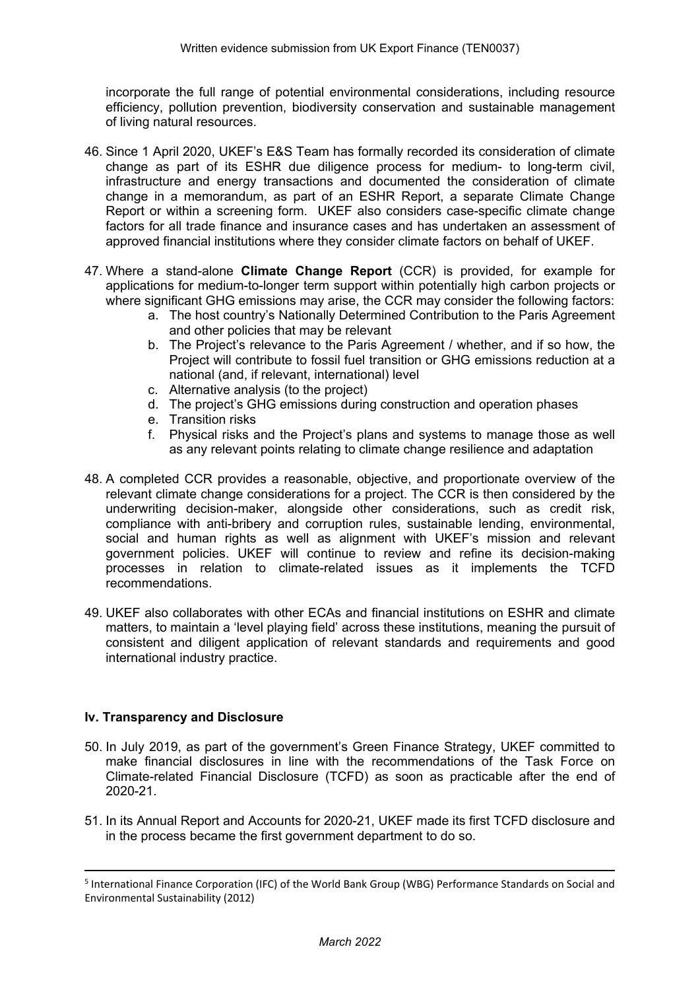incorporate the full range of potential environmental considerations, including resource efficiency, pollution prevention, biodiversity conservation and sustainable management of living natural resources.

- 46. Since 1 April 2020, UKEF's E&S Team has formally recorded its consideration of climate change as part of its ESHR due diligence process for medium- to long-term civil, infrastructure and energy transactions and documented the consideration of climate change in a memorandum, as part of an ESHR Report, a separate Climate Change Report or within a screening form. UKEF also considers case-specific climate change factors for all trade finance and insurance cases and has undertaken an assessment of approved financial institutions where they consider climate factors on behalf of UKEF.
- 47. Where a stand-alone **Climate Change Report** (CCR) is provided, for example for applications for medium-to-longer term support within potentially high carbon projects or where significant GHG emissions may arise, the CCR may consider the following factors:
	- a. The host country's Nationally Determined Contribution to the Paris Agreement and other policies that may be relevant
	- b. The Project's relevance to the Paris Agreement / whether, and if so how, the Project will contribute to fossil fuel transition or GHG emissions reduction at a national (and, if relevant, international) level
	- c. Alternative analysis (to the project)
	- d. The project's GHG emissions during construction and operation phases
	- e. Transition risks
	- f. Physical risks and the Project's plans and systems to manage those as well as any relevant points relating to climate change resilience and adaptation
- 48. A completed CCR provides a reasonable, objective, and proportionate overview of the relevant climate change considerations for a project. The CCR is then considered by the underwriting decision-maker, alongside other considerations, such as credit risk, compliance with anti-bribery and corruption rules, sustainable lending, environmental, social and human rights as well as alignment with UKEF's mission and relevant government policies. UKEF will continue to review and refine its decision-making processes in relation to climate-related issues as it implements the TCFD recommendations.
- 49. UKEF also collaborates with other ECAs and financial institutions on ESHR and climate matters, to maintain a 'level playing field' across these institutions, meaning the pursuit of consistent and diligent application of relevant standards and requirements and good international industry practice.

# **Iv. Transparency and Disclosure**

- 50. In July 2019, as part of the government's Green Finance Strategy, UKEF committed to make financial disclosures in line with the recommendations of the Task Force on Climate-related Financial Disclosure (TCFD) as soon as practicable after the end of 2020-21.
- 51. In its Annual Report and Accounts for 2020-21, UKEF made its first TCFD disclosure and in the process became the first government department to do so.

<sup>5</sup> International Finance Corporation (IFC) of the World Bank Group (WBG) Performance Standards on Social and Environmental Sustainability (2012)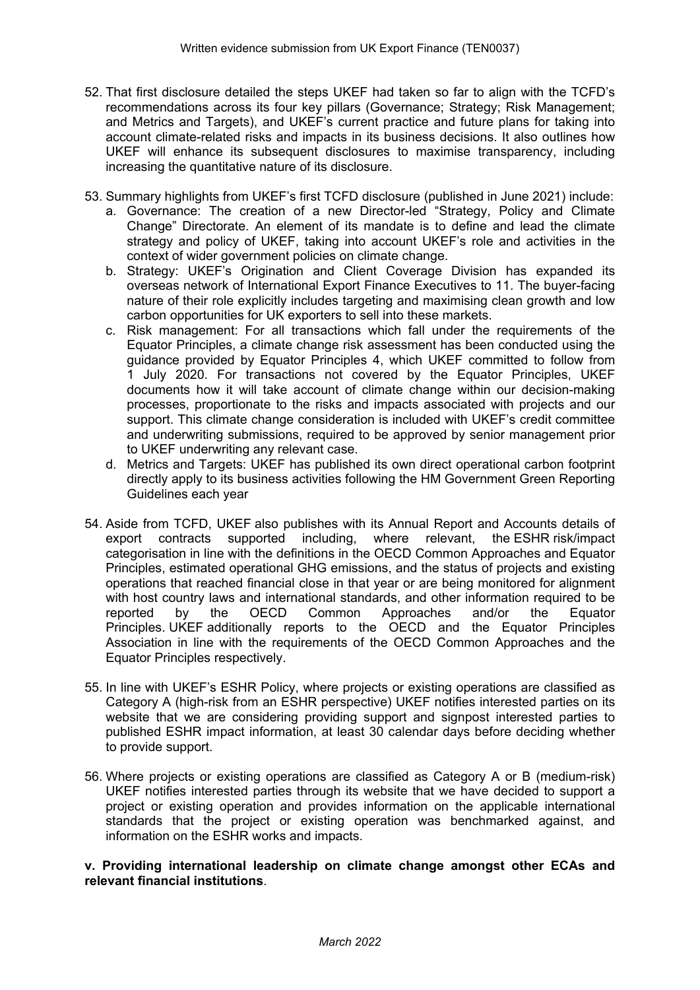- 52. That first disclosure detailed the steps UKEF had taken so far to align with the TCFD's recommendations across its four key pillars (Governance; Strategy; Risk Management; and Metrics and Targets), and UKEF's current practice and future plans for taking into account climate-related risks and impacts in its business decisions. It also outlines how UKEF will enhance its subsequent disclosures to maximise transparency, including increasing the quantitative nature of its disclosure.
- 53. Summary highlights from UKEF's first TCFD disclosure (published in June 2021) include:
	- a. Governance: The creation of a new Director-led "Strategy, Policy and Climate Change" Directorate. An element of its mandate is to define and lead the climate strategy and policy of UKEF, taking into account UKEF's role and activities in the context of wider government policies on climate change.
	- b. Strategy: UKEF's Origination and Client Coverage Division has expanded its overseas network of International Export Finance Executives to 11. The buyer-facing nature of their role explicitly includes targeting and maximising clean growth and low carbon opportunities for UK exporters to sell into these markets.
	- c. Risk management: For all transactions which fall under the requirements of the Equator Principles, a climate change risk assessment has been conducted using the guidance provided by Equator Principles 4, which UKEF committed to follow from 1 July 2020. For transactions not covered by the Equator Principles, UKEF documents how it will take account of climate change within our decision-making processes, proportionate to the risks and impacts associated with projects and our support. This climate change consideration is included with UKEF's credit committee and underwriting submissions, required to be approved by senior management prior to UKEF underwriting any relevant case.
	- d. Metrics and Targets: UKEF has published its own direct operational carbon footprint directly apply to its business activities following the HM Government Green Reporting Guidelines each year
- 54. Aside from TCFD, UKEF also publishes with its Annual Report and Accounts details of export contracts supported including, where relevant, the ESHR risk/impact categorisation in line with the definitions in the OECD Common Approaches and Equator Principles, estimated operational GHG emissions, and the status of projects and existing operations that reached financial close in that year or are being monitored for alignment with host country laws and international standards, and other information required to be reported by the OECD Common Approaches and/or the Equator reported by the OECD Common Approaches and/or the Equator Principles. UKEF additionally reports to the OECD and the Equator Principles Association in line with the requirements of the OECD Common Approaches and the Equator Principles respectively.
- 55. In line with UKEF's ESHR Policy, where projects or existing operations are classified as Category A (high-risk from an ESHR perspective) UKEF notifies interested parties on its website that we are considering providing support and signpost interested parties to published ESHR impact information, at least 30 calendar days before deciding whether to provide support.
- 56. Where projects or existing operations are classified as Category A or B (medium-risk) UKEF notifies interested parties through its website that we have decided to support a project or existing operation and provides information on the applicable international standards that the project or existing operation was benchmarked against, and information on the ESHR works and impacts.

# **v. Providing international leadership on climate change amongst other ECAs and relevant financial institutions**.